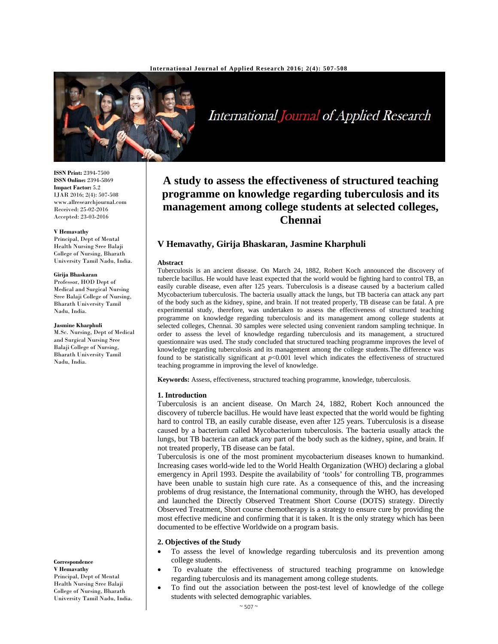

# International Journal of Applied Research

## **A study to assess the effectiveness of structured teaching programme on knowledge regarding tuberculosis and its management among college students at selected colleges, Chennai**

## **V Hemavathy, Girija Bhaskaran, Jasmine Kharphuli**

#### **Abstract**

Tuberculosis is an ancient disease. On March 24, 1882, Robert Koch announced the discovery of tubercle bacillus. He would have least expected that the world would be fighting hard to control TB, an easily curable disease, even after 125 years. Tuberculosis is a disease caused by a bacterium called Mycobacterium tuberculosis. The bacteria usually attack the lungs, but TB bacteria can attack any part of the body such as the kidney, spine, and brain. If not treated properly, TB disease can be fatal. A pre experimental study, therefore, was undertaken to assess the effectiveness of structured teaching programme on knowledge regarding tuberculosis and its management among college students at selected colleges, Chennai. 30 samples were selected using convenient random sampling technique. In order to assess the level of knowledge regarding tuberculosis and its management, a structured questionnaire was used. The study concluded that structured teaching programme improves the level of knowledge regarding tuberculosis and its management among the college students.The difference was found to be statistically significant at  $p<0.001$  level which indicates the effectiveness of structured teaching programme in improving the level of knowledge.

**Keywords:** Assess, effectiveness, structured teaching programme, knowledge, tuberculosis.

#### **1. Introduction**

Tuberculosis is an ancient disease. On March 24, 1882, Robert Koch announced the discovery of tubercle bacillus. He would have least expected that the world would be fighting hard to control TB, an easily curable disease, even after 125 years. Tuberculosis is a disease caused by a bacterium called Mycobacterium tuberculosis. The bacteria usually attack the lungs, but TB bacteria can attack any part of the body such as the kidney, spine, and brain. If not treated properly, TB disease can be fatal.

Tuberculosis is one of the most prominent mycobacterium diseases known to humankind. Increasing cases world-wide led to the World Health Organization (WHO) declaring a global emergency in April 1993. Despite the availability of 'tools' for controlling TB, programmes have been unable to sustain high cure rate. As a consequence of this, and the increasing problems of drug resistance, the International community, through the WHO, has developed and launched the Directly Observed Treatment Short Course (DOTS) strategy. Directly Observed Treatment, Short course chemotherapy is a strategy to ensure cure by providing the most effective medicine and confirming that it is taken. It is the only strategy which has been documented to be effective Worldwide on a program basis.

#### **2. Objectives of the Study**

- To assess the level of knowledge regarding tuberculosis and its prevention among college students.
- To evaluate the effectiveness of structured teaching programme on knowledge regarding tuberculosis and its management among college students.
- To find out the association between the post-test level of knowledge of the college students with selected demographic variables.

**ISSN Print:** 2394-7500 **ISSN Online:** 2394-5869 **Impact Factor:** 5.2 IJAR 2016; 2(4): 507-508 www.allresearchjournal.com Received: 25-02-2016 Accepted: 23-03-2016

#### **V Hemavathy**

Principal, Dept of Mental Health Nursing Sree Balaji College of Nursing, Bharath University Tamil Nadu, India.

#### **Girija Bhaskaran**

Professor, HOD Dept of Medical and Surgical Nursing Sree Balaji College of Nursing, Bharath University Tamil Nadu, India.

#### **Jasmine Kharphuli**

M.Sc. Nursing, Dept of Medical and Surgical Nursing Sree Balaji College of Nursing, Bharath University Tamil Nadu, India.

## **Correspondence**

**V Hemavathy**  Principal, Dept of Mental Health Nursing Sree Balaji College of Nursing, Bharath University Tamil Nadu, India.